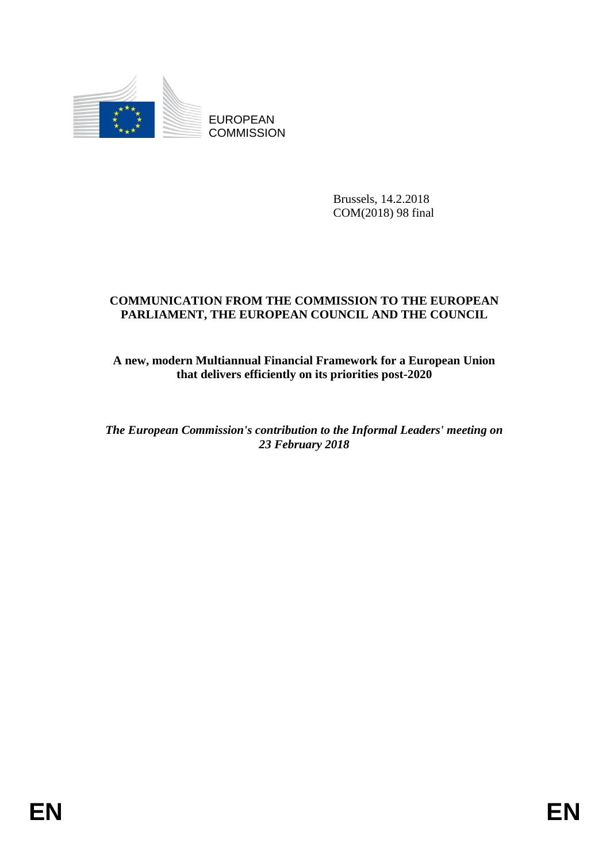

EUROPEAN **COMMISSION** 

> Brussels, 14.2.2018 COM(2018) 98 final

## **COMMUNICATION FROM THE COMMISSION TO THE EUROPEAN PARLIAMENT, THE EUROPEAN COUNCIL AND THE COUNCIL**

## **A new, modern Multiannual Financial Framework for a European Union that delivers efficiently on its priorities post-2020**

*The European Commission's contribution to the Informal Leaders' meeting on 23 February 2018*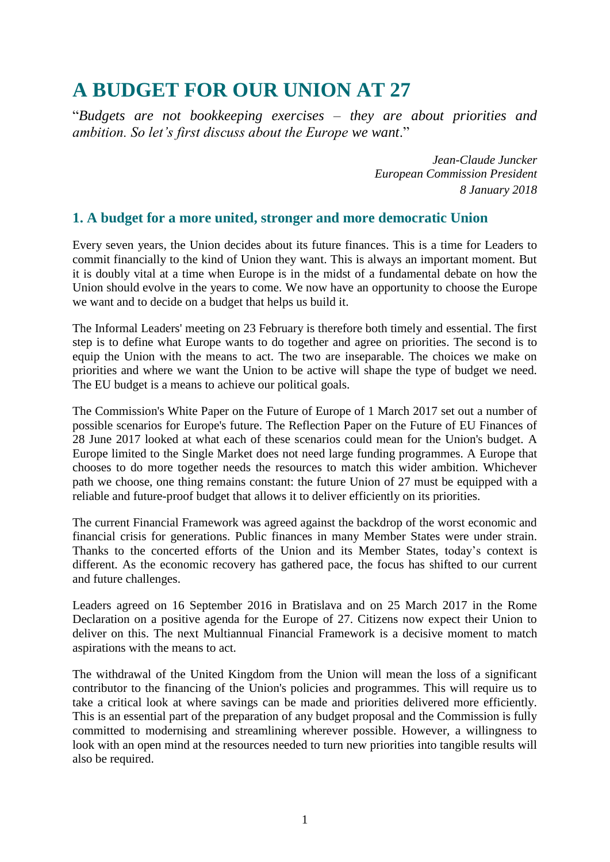# **A BUDGET FOR OUR UNION AT 27**

"*Budgets are not bookkeeping exercises – they are about priorities and ambition. So let's first discuss about the Europe we want*."

> *Jean-Claude Juncker European Commission President 8 January 2018*

## **1. A budget for a more united, stronger and more democratic Union**

Every seven years, the Union decides about its future finances. This is a time for Leaders to commit financially to the kind of Union they want. This is always an important moment. But it is doubly vital at a time when Europe is in the midst of a fundamental debate on how the Union should evolve in the years to come. We now have an opportunity to choose the Europe we want and to decide on a budget that helps us build it.

The Informal Leaders' meeting on 23 February is therefore both timely and essential. The first step is to define what Europe wants to do together and agree on priorities. The second is to equip the Union with the means to act. The two are inseparable. The choices we make on priorities and where we want the Union to be active will shape the type of budget we need. The EU budget is a means to achieve our political goals.

The Commission's White Paper on the Future of Europe of 1 March 2017 set out a number of possible scenarios for Europe's future. The Reflection Paper on the Future of EU Finances of 28 June 2017 looked at what each of these scenarios could mean for the Union's budget. A Europe limited to the Single Market does not need large funding programmes. A Europe that chooses to do more together needs the resources to match this wider ambition. Whichever path we choose, one thing remains constant: the future Union of 27 must be equipped with a reliable and future-proof budget that allows it to deliver efficiently on its priorities.

The current Financial Framework was agreed against the backdrop of the worst economic and financial crisis for generations. Public finances in many Member States were under strain. Thanks to the concerted efforts of the Union and its Member States, today's context is different. As the economic recovery has gathered pace, the focus has shifted to our current and future challenges.

Leaders agreed on 16 September 2016 in Bratislava and on 25 March 2017 in the Rome Declaration on a positive agenda for the Europe of 27. Citizens now expect their Union to deliver on this. The next Multiannual Financial Framework is a decisive moment to match aspirations with the means to act.

The withdrawal of the United Kingdom from the Union will mean the loss of a significant contributor to the financing of the Union's policies and programmes. This will require us to take a critical look at where savings can be made and priorities delivered more efficiently. This is an essential part of the preparation of any budget proposal and the Commission is fully committed to modernising and streamlining wherever possible. However, a willingness to look with an open mind at the resources needed to turn new priorities into tangible results will also be required.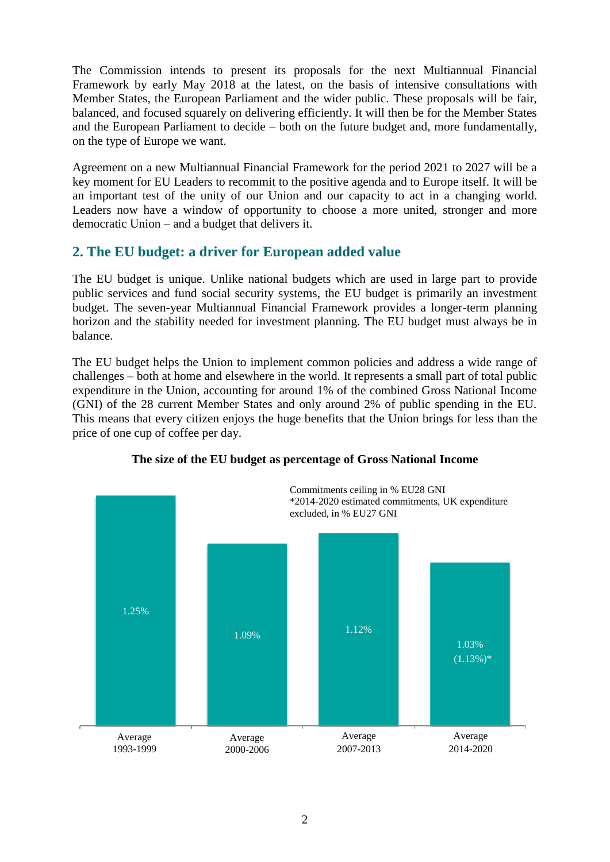The Commission intends to present its proposals for the next Multiannual Financial Framework by early May 2018 at the latest, on the basis of intensive consultations with Member States, the European Parliament and the wider public. These proposals will be fair, balanced, and focused squarely on delivering efficiently. It will then be for the Member States and the European Parliament to decide – both on the future budget and, more fundamentally, on the type of Europe we want.

Agreement on a new Multiannual Financial Framework for the period 2021 to 2027 will be a key moment for EU Leaders to recommit to the positive agenda and to Europe itself. It will be an important test of the unity of our Union and our capacity to act in a changing world. Leaders now have a window of opportunity to choose a more united, stronger and more democratic Union – and a budget that delivers it.

## **2. The EU budget: a driver for European added value**

The EU budget is unique. Unlike national budgets which are used in large part to provide public services and fund social security systems, the EU budget is primarily an investment budget. The seven-year Multiannual Financial Framework provides a longer-term planning horizon and the stability needed for investment planning. The EU budget must always be in balance.

The EU budget helps the Union to implement common policies and address a wide range of challenges – both at home and elsewhere in the world. It represents a small part of total public expenditure in the Union, accounting for around 1% of the combined Gross National Income (GNI) of the 28 current Member States and only around 2% of public spending in the EU. This means that every citizen enjoys the huge benefits that the Union brings for less than the price of one cup of coffee per day.



## **The size of the EU budget as percentage of Gross National Income**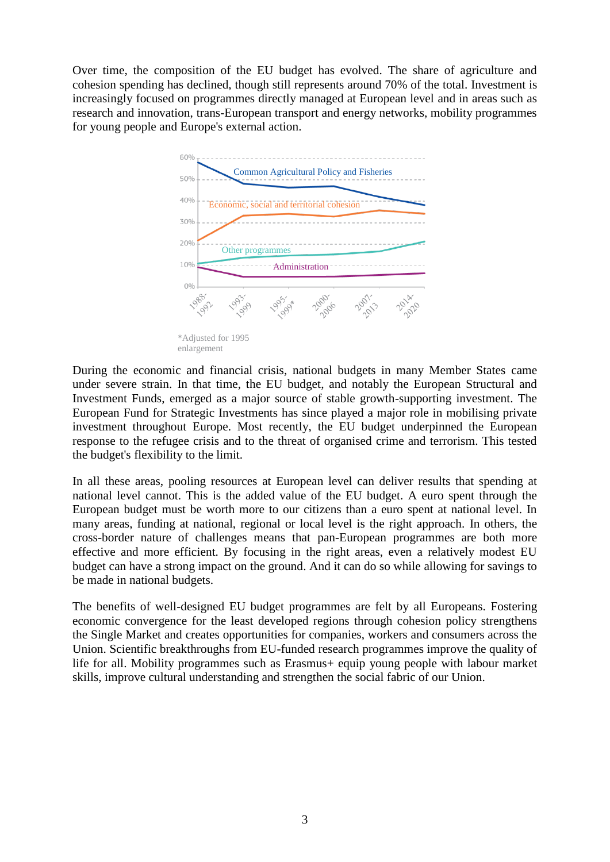Over time, the composition of the EU budget has evolved. The share of agriculture and cohesion spending has declined, though still represents around 70% of the total. Investment is increasingly focused on programmes directly managed at European level and in areas such as research and innovation, trans-European transport and energy networks, mobility programmes for young people and Europe's external action.



During the economic and financial crisis, national budgets in many Member States came under severe strain. In that time, the EU budget, and notably the European Structural and Investment Funds, emerged as a major source of stable growth-supporting investment. The European Fund for Strategic Investments has since played a major role in mobilising private investment throughout Europe. Most recently, the EU budget underpinned the European response to the refugee crisis and to the threat of organised crime and terrorism. This tested the budget's flexibility to the limit.

In all these areas, pooling resources at European level can deliver results that spending at national level cannot. This is the added value of the EU budget. A euro spent through the European budget must be worth more to our citizens than a euro spent at national level. In many areas, funding at national, regional or local level is the right approach. In others, the cross-border nature of challenges means that pan-European programmes are both more effective and more efficient. By focusing in the right areas, even a relatively modest EU budget can have a strong impact on the ground. And it can do so while allowing for savings to be made in national budgets.

The benefits of well-designed EU budget programmes are felt by all Europeans. Fostering economic convergence for the least developed regions through cohesion policy strengthens the Single Market and creates opportunities for companies, workers and consumers across the Union. Scientific breakthroughs from EU-funded research programmes improve the quality of life for all. Mobility programmes such as Erasmus+ equip young people with labour market skills, improve cultural understanding and strengthen the social fabric of our Union.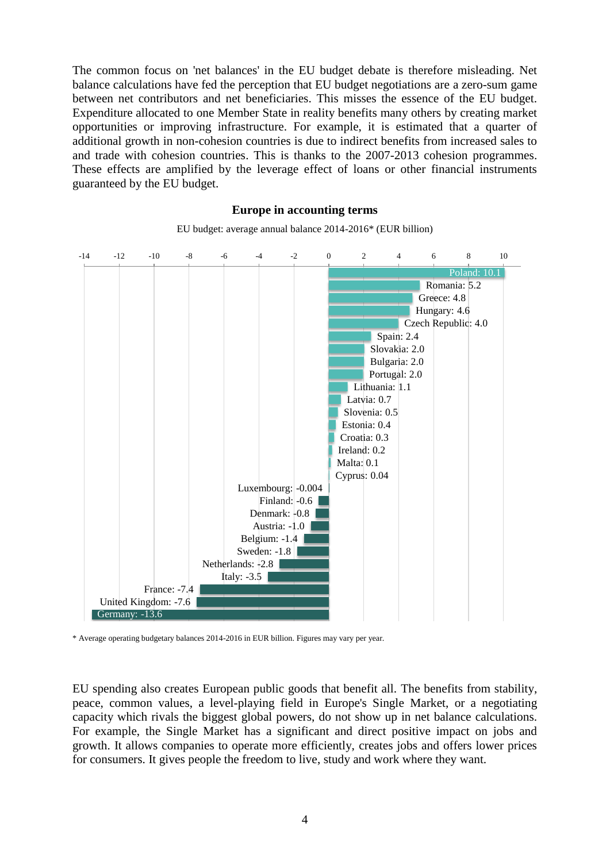The common focus on 'net balances' in the EU budget debate is therefore misleading. Net balance calculations have fed the perception that EU budget negotiations are a zero-sum game between net contributors and net beneficiaries. This misses the essence of the EU budget. Expenditure allocated to one Member State in reality benefits many others by creating market opportunities or improving infrastructure. For example, it is estimated that a quarter of additional growth in non-cohesion countries is due to indirect benefits from increased sales to and trade with cohesion countries. This is thanks to the 2007-2013 cohesion programmes. These effects are amplified by the leverage effect of loans or other financial instruments guaranteed by the EU budget.

#### **Europe in accounting terms**



EU budget: average annual balance 2014-2016\* (EUR billion)

\* Average operating budgetary balances 2014-2016 in EUR billion. Figures may vary per year.

EU spending also creates European public goods that benefit all. The benefits from stability, peace, common values, a level-playing field in Europe's Single Market, or a negotiating capacity which rivals the biggest global powers, do not show up in net balance calculations. For example, the Single Market has a significant and direct positive impact on jobs and growth. It allows companies to operate more efficiently, creates jobs and offers lower prices for consumers. It gives people the freedom to live, study and work where they want.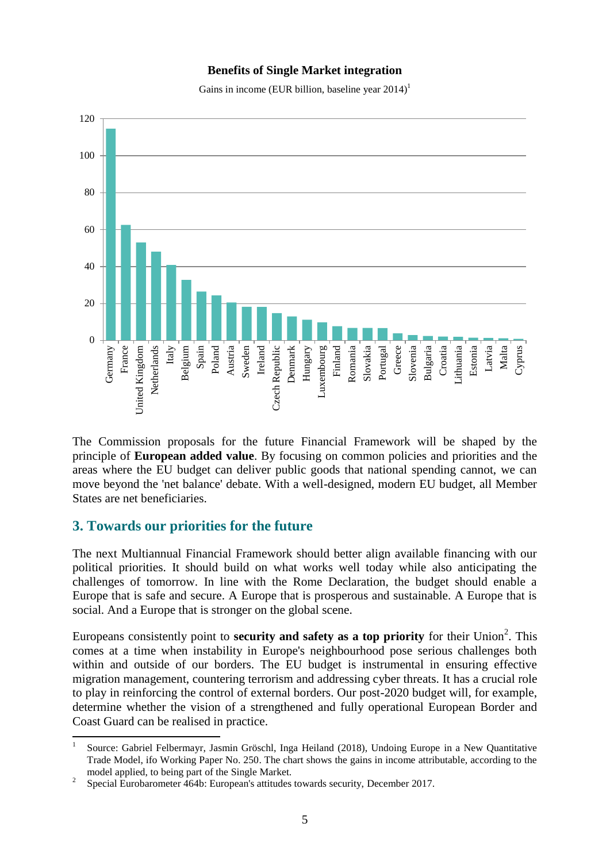#### **Benefits of Single Market integration**

Gains in income (EUR billion, baseline year  $2014$ )<sup>1</sup>



The Commission proposals for the future Financial Framework will be shaped by the principle of **European added value**. By focusing on common policies and priorities and the areas where the EU budget can deliver public goods that national spending cannot, we can move beyond the 'net balance' debate. With a well-designed, modern EU budget, all Member States are net beneficiaries.

## **3. Towards our priorities for the future**

The next Multiannual Financial Framework should better align available financing with our political priorities. It should build on what works well today while also anticipating the challenges of tomorrow. In line with the Rome Declaration, the budget should enable a Europe that is safe and secure. A Europe that is prosperous and sustainable. A Europe that is social. And a Europe that is stronger on the global scene.

Europeans consistently point to **security and safety as a top priority** for their Union<sup>2</sup>. This comes at a time when instability in Europe's neighbourhood pose serious challenges both within and outside of our borders. The EU budget is instrumental in ensuring effective migration management, countering terrorism and addressing cyber threats. It has a crucial role to play in reinforcing the control of external borders. Our post-2020 budget will, for example, determine whether the vision of a strengthened and fully operational European Border and Coast Guard can be realised in practice.

**<sup>.</sup>** 1 Source: Gabriel Felbermayr, Jasmin Gröschl, Inga Heiland (2018), Undoing Europe in a New Quantitative Trade Model, ifo Working Paper No. 250. The chart shows the gains in income attributable, according to the model applied, to being part of the Single Market.

<sup>2</sup> Special Eurobarometer 464b: European's attitudes towards security, December 2017.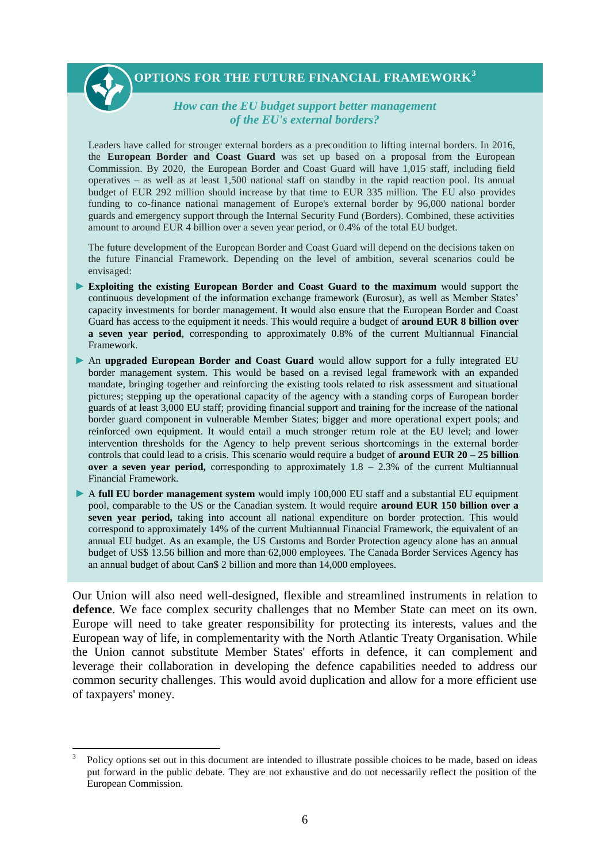

1

#### *How can the EU budget support better management of the EU's external borders?*

Leaders have called for stronger external borders as a precondition to lifting internal borders. In 2016, the **European Border and Coast Guard** was set up based on a proposal from the European Commission. By 2020, the European Border and Coast Guard will have 1,015 staff, including field operatives – as well as at least 1,500 national staff on standby in the rapid reaction pool. Its annual budget of EUR 292 million should increase by that time to EUR 335 million. The EU also provides funding to co-finance national management of Europe's external border by 96,000 national border guards and emergency support through the Internal Security Fund (Borders). Combined, these activities amount to around EUR 4 billion over a seven year period, or 0.4% of the total EU budget.

The future development of the European Border and Coast Guard will depend on the decisions taken on the future Financial Framework. Depending on the level of ambition, several scenarios could be envisaged:

- **Exploiting the existing European Border and Coast Guard to the maximum** would support the continuous development of the information exchange framework (Eurosur), as well as Member States' capacity investments for border management. It would also ensure that the European Border and Coast Guard has access to the equipment it needs. This would require a budget of **around EUR 8 billion over a seven year period**, corresponding to approximately 0.8% of the current Multiannual Financial Framework.
- An **upgraded European Border and Coast Guard** would allow support for a fully integrated EU border management system. This would be based on a revised legal framework with an expanded mandate, bringing together and reinforcing the existing tools related to risk assessment and situational pictures; stepping up the operational capacity of the agency with a standing corps of European border guards of at least 3,000 EU staff; providing financial support and training for the increase of the national border guard component in vulnerable Member States; bigger and more operational expert pools; and reinforced own equipment. It would entail a much stronger return role at the EU level; and lower intervention thresholds for the Agency to help prevent serious shortcomings in the external border controls that could lead to a crisis. This scenario would require a budget of **around EUR 20 – 25 billion over a seven year period,** corresponding to approximately 1.8 – 2.3% of the current Multiannual Financial Framework.
- A **full EU border management system** would imply 100,000 EU staff and a substantial EU equipment pool, comparable to the US or the Canadian system. It would require **around EUR 150 billion over a seven year period,** taking into account all national expenditure on border protection. This would correspond to approximately 14% of the current Multiannual Financial Framework, the equivalent of an annual EU budget. As an example, the US Customs and Border Protection agency alone has an annual budget of US\$ 13.56 billion and more than 62,000 employees. The Canada Border Services Agency has an annual budget of about Can\$ 2 billion and more than 14,000 employees.

Our Union will also need well-designed, flexible and streamlined instruments in relation to **defence**. We face complex security challenges that no Member State can meet on its own. Europe will need to take greater responsibility for protecting its interests, values and the European way of life, in complementarity with the North Atlantic Treaty Organisation. While the Union cannot substitute Member States' efforts in defence, it can complement and leverage their collaboration in developing the defence capabilities needed to address our common security challenges. This would avoid duplication and allow for a more efficient use of taxpayers' money.

<sup>3</sup> Policy options set out in this document are intended to illustrate possible choices to be made, based on ideas put forward in the public debate. They are not exhaustive and do not necessarily reflect the position of the European Commission.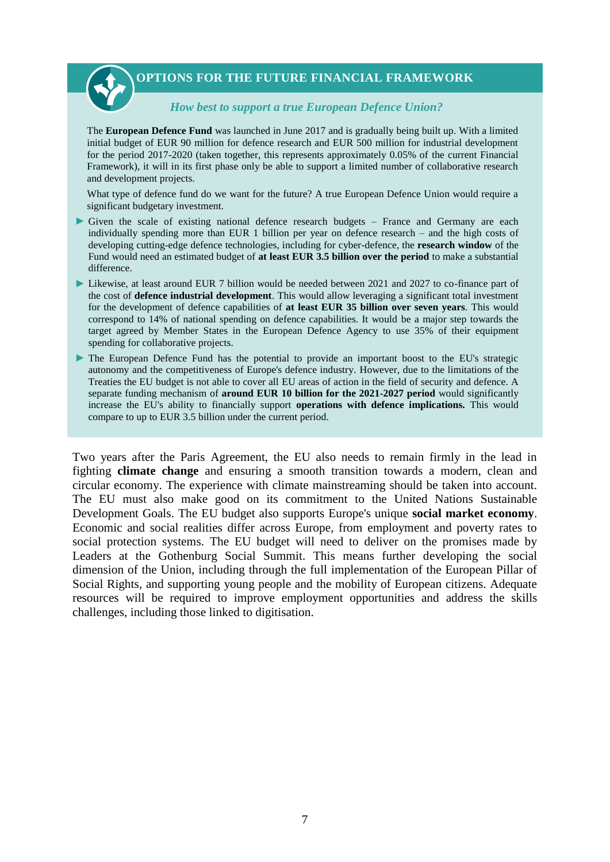

#### *How best to support a true European Defence Union?*

The **European Defence Fund** was launched in June 2017 and is gradually being built up. With a limited initial budget of EUR 90 million for defence research and EUR 500 million for industrial development for the period 2017-2020 (taken together, this represents approximately 0.05% of the current Financial Framework), it will in its first phase only be able to support a limited number of collaborative research and development projects.

What type of defence fund do we want for the future? A true European Defence Union would require a significant budgetary investment.

- Given the scale of existing national defence research budgets  $-$  France and Germany are each individually spending more than EUR 1 billion per year on defence research – and the high costs of developing cutting-edge defence technologies, including for cyber-defence, the **research window** of the Fund would need an estimated budget of **at least EUR 3.5 billion over the period** to make a substantial difference.
- Likewise, at least around EUR 7 billion would be needed between 2021 and 2027 to co-finance part of the cost of **defence industrial development**. This would allow leveraging a significant total investment for the development of defence capabilities of **at least EUR 35 billion over seven years**. This would correspond to 14% of national spending on defence capabilities. It would be a major step towards the target agreed by Member States in the European Defence Agency to use 35% of their equipment spending for collaborative projects.
- The European Defence Fund has the potential to provide an important boost to the EU's strategic autonomy and the competitiveness of Europe's defence industry. However, due to the limitations of the Treaties the EU budget is not able to cover all EU areas of action in the field of security and defence. A separate funding mechanism of **around EUR 10 billion for the 2021-2027 period** would significantly increase the EU's ability to financially support **operations with defence implications.** This would compare to up to EUR 3.5 billion under the current period.

Two years after the Paris Agreement, the EU also needs to remain firmly in the lead in fighting **climate change** and ensuring a smooth transition towards a modern, clean and circular economy. The experience with climate mainstreaming should be taken into account. The EU must also make good on its commitment to the United Nations Sustainable Development Goals. The EU budget also supports Europe's unique **social market economy**. Economic and social realities differ across Europe, from employment and poverty rates to social protection systems. The EU budget will need to deliver on the promises made by Leaders at the Gothenburg Social Summit. This means further developing the social dimension of the Union, including through the full implementation of the European Pillar of Social Rights, and supporting young people and the mobility of European citizens. Adequate resources will be required to improve employment opportunities and address the skills challenges, including those linked to digitisation.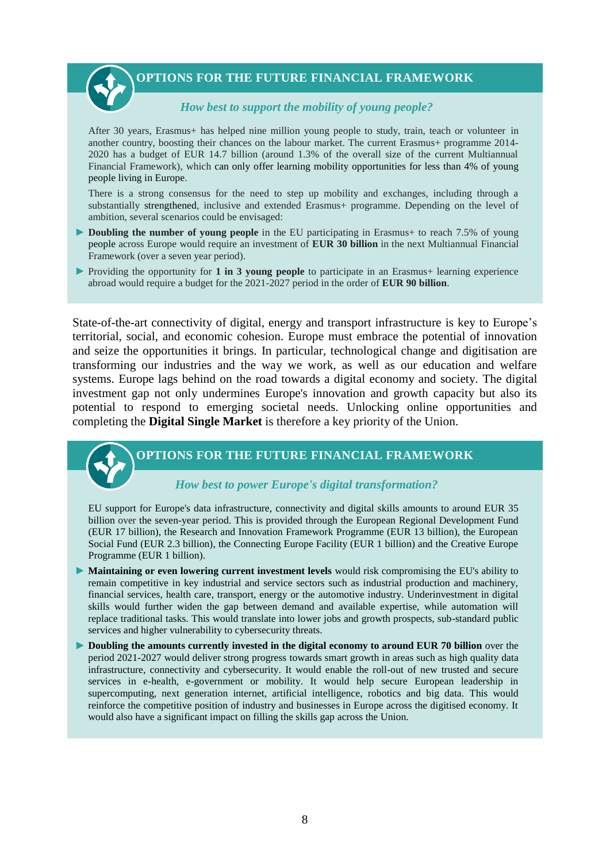*How best to support the mobility of young people?*

After 30 years, Erasmus+ has helped nine million young people to study, train, teach or volunteer in another country, boosting their chances on the labour market. The current Erasmus+ programme 2014- 2020 has a budget of EUR 14.7 billion (around 1.3% of the overall size of the current Multiannual Financial Framework), which can only offer learning mobility opportunities for less than 4% of young people living in Europe.

There is a strong consensus for the need to step up mobility and exchanges, including through a substantially strengthened, inclusive and extended Erasmus+ programme. Depending on the level of ambition, several scenarios could be envisaged:

- **► Doubling the number of young people** in the EU participating in Erasmus+ to reach 7.5% of young people across Europe would require an investment of **EUR 30 billion** in the next Multiannual Financial Framework (over a seven year period).
- Providing the opportunity for **1 in 3 young people** to participate in an Erasmus+ learning experience abroad would require a budget for the 2021-2027 period in the order of **EUR 90 billion**.

State-of-the-art connectivity of digital, energy and transport infrastructure is key to Europe's territorial, social, and economic cohesion. Europe must embrace the potential of innovation and seize the opportunities it brings. In particular, technological change and digitisation are transforming our industries and the way we work, as well as our education and welfare systems. Europe lags behind on the road towards a digital economy and society. The digital investment gap not only undermines Europe's innovation and growth capacity but also its potential to respond to emerging societal needs. Unlocking online opportunities and completing the **Digital Single Market** is therefore a key priority of the Union.

#### **OPTIONS FOR THE FUTURE FINANCIAL FRAMEWORK**

#### *How best to power Europe's digital transformation?*

EU support for Europe's data infrastructure, connectivity and digital skills amounts to around EUR 35 billion over the seven-year period. This is provided through the European Regional Development Fund (EUR 17 billion), the Research and Innovation Framework Programme (EUR 13 billion), the European Social Fund (EUR 2.3 billion), the Connecting Europe Facility (EUR 1 billion) and the Creative Europe Programme (EUR 1 billion).

- **Maintaining or even lowering current investment levels** would risk compromising the EU's ability to remain competitive in key industrial and service sectors such as industrial production and machinery, financial services, health care, transport, energy or the automotive industry. Underinvestment in digital skills would further widen the gap between demand and available expertise, while automation will replace traditional tasks. This would translate into lower jobs and growth prospects, sub-standard public services and higher vulnerability to cybersecurity threats.
- **Doubling the amounts currently invested in the digital economy to around EUR 70 billion** over the period 2021-2027 would deliver strong progress towards smart growth in areas such as high quality data infrastructure, connectivity and cybersecurity. It would enable the roll-out of new trusted and secure services in e-health, e-government or mobility. It would help secure European leadership in supercomputing, next generation internet, artificial intelligence, robotics and big data. This would reinforce the competitive position of industry and businesses in Europe across the digitised economy. It would also have a significant impact on filling the skills gap across the Union.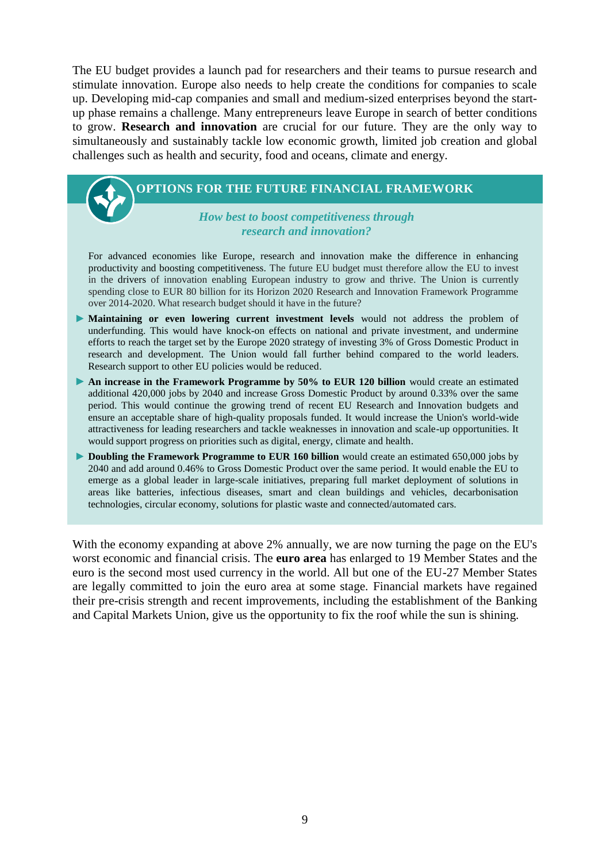The EU budget provides a launch pad for researchers and their teams to pursue research and stimulate innovation. Europe also needs to help create the conditions for companies to scale up. Developing mid-cap companies and small and medium-sized enterprises beyond the startup phase remains a challenge. Many entrepreneurs leave Europe in search of better conditions to grow. **Research and innovation** are crucial for our future. They are the only way to simultaneously and sustainably tackle low economic growth, limited job creation and global challenges such as health and security, food and oceans, climate and energy.

## **OPTIONS FOR THE FUTURE FINANCIAL FRAMEWORK**

*How best to boost competitiveness through research and innovation?*

For advanced economies like Europe, research and innovation make the difference in enhancing productivity and boosting competitiveness. The future EU budget must therefore allow the EU to invest in the drivers of innovation enabling European industry to grow and thrive. The Union is currently spending close to EUR 80 billion for its Horizon 2020 Research and Innovation Framework Programme over 2014-2020. What research budget should it have in the future?

- **Maintaining or even lowering current investment levels** would not address the problem of underfunding. This would have knock-on effects on national and private investment, and undermine efforts to reach the target set by the Europe 2020 strategy of investing 3% of Gross Domestic Product in research and development. The Union would fall further behind compared to the world leaders. Research support to other EU policies would be reduced.
- **An increase in the Framework Programme by 50% to EUR 120 billion** would create an estimated additional 420,000 jobs by 2040 and increase Gross Domestic Product by around 0.33% over the same period. This would continue the growing trend of recent EU Research and Innovation budgets and ensure an acceptable share of high-quality proposals funded. It would increase the Union's world-wide attractiveness for leading researchers and tackle weaknesses in innovation and scale-up opportunities. It would support progress on priorities such as digital, energy, climate and health.
- **Doubling the Framework Programme to EUR 160 billion** would create an estimated 650,000 jobs by 2040 and add around 0.46% to Gross Domestic Product over the same period. It would enable the EU to emerge as a global leader in large-scale initiatives, preparing full market deployment of solutions in areas like batteries, infectious diseases, smart and clean buildings and vehicles, decarbonisation technologies, circular economy, solutions for plastic waste and connected/automated cars.

With the economy expanding at above 2% annually, we are now turning the page on the EU's worst economic and financial crisis. The **euro area** has enlarged to 19 Member States and the euro is the second most used currency in the world. All but one of the EU-27 Member States are legally committed to join the euro area at some stage. Financial markets have regained their pre-crisis strength and recent improvements, including the establishment of the Banking and Capital Markets Union, give us the opportunity to fix the roof while the sun is shining.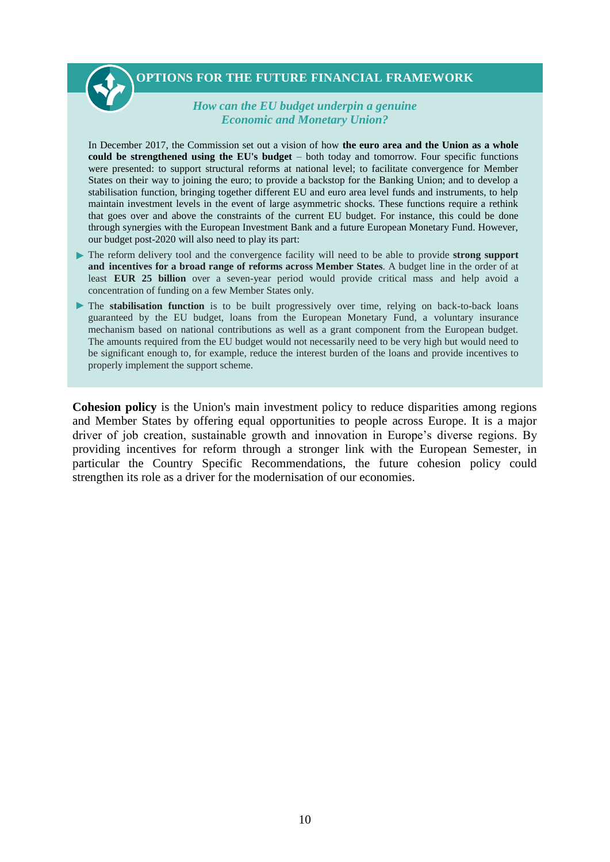## *How can the EU budget underpin a genuine Economic and Monetary Union?*

In December 2017, the Commission set out a vision of how **the euro area and the Union as a whole could be strengthened using the EU's budget** – both today and tomorrow. Four specific functions were presented: to support structural reforms at national level; to facilitate convergence for Member States on their way to joining the euro; to provide a backstop for the Banking Union; and to develop a stabilisation function, bringing together different EU and euro area level funds and instruments, to help maintain investment levels in the event of large asymmetric shocks. These functions require a rethink that goes over and above the constraints of the current EU budget. For instance, this could be done through synergies with the European Investment Bank and a future European Monetary Fund. However, our budget post-2020 will also need to play its part:

- The reform delivery tool and the convergence facility will need to be able to provide **strong support and incentives for a broad range of reforms across Member States**. A budget line in the order of at least **EUR 25 billion** over a seven-year period would provide critical mass and help avoid a concentration of funding on a few Member States only.
- The **stabilisation function** is to be built progressively over time, relying on back-to-back loans guaranteed by the EU budget, loans from the European Monetary Fund, a voluntary insurance mechanism based on national contributions as well as a grant component from the European budget. The amounts required from the EU budget would not necessarily need to be very high but would need to be significant enough to, for example, reduce the interest burden of the loans and provide incentives to properly implement the support scheme.

**Cohesion policy** is the Union's main investment policy to reduce disparities among regions and Member States by offering equal opportunities to people across Europe. It is a major driver of job creation, sustainable growth and innovation in Europe's diverse regions. By providing incentives for reform through a stronger link with the European Semester, in particular the Country Specific Recommendations, the future cohesion policy could strengthen its role as a driver for the modernisation of our economies.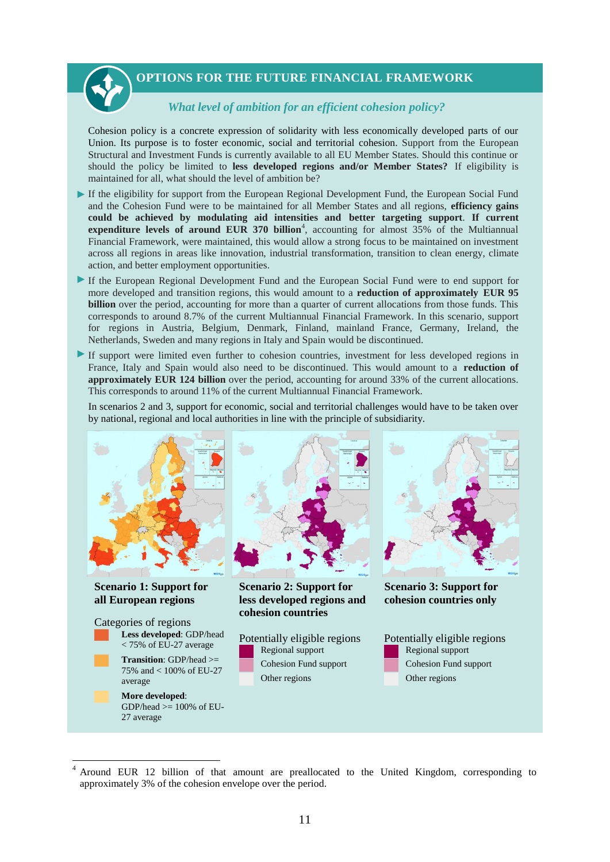#### *What level of ambition for an efficient cohesion policy?*

Cohesion policy is a concrete expression of solidarity with less economically developed parts of our Union. Its purpose is to foster economic, social and territorial cohesion. Support from the European Structural and Investment Funds is currently available to all EU Member States. Should this continue or should the policy be limited to **less developed regions and/or Member States?** If eligibility is maintained for all, what should the level of ambition be?

- If the eligibility for support from the European Regional Development Fund, the European Social Fund and the Cohesion Fund were to be maintained for all Member States and all regions, **efficiency gains could be achieved by modulating aid intensities and better targeting support**. **If current**  expenditure levels of around EUR 370 billion<sup>4</sup>, accounting for almost 35% of the Multiannual Financial Framework, were maintained, this would allow a strong focus to be maintained on investment across all regions in areas like innovation, industrial transformation, transition to clean energy, climate action, and better employment opportunities.
- If the European Regional Development Fund and the European Social Fund were to end support for more developed and transition regions, this would amount to a **reduction of approximately EUR 95 billion** over the period, accounting for more than a quarter of current allocations from those funds. This corresponds to around 8.7% of the current Multiannual Financial Framework. In this scenario, support for regions in Austria, Belgium, Denmark, Finland, mainland France, Germany, Ireland, the Netherlands, Sweden and many regions in Italy and Spain would be discontinued.
- If support were limited even further to cohesion countries, investment for less developed regions in France, Italy and Spain would also need to be discontinued. This would amount to a **reduction of approximately EUR 124 billion** over the period, accounting for around 33% of the current allocations. This corresponds to around 11% of the current Multiannual Financial Framework.

In scenarios 2 and 3, support for economic, social and territorial challenges would have to be taken over by national, regional and local authorities in line with the principle of subsidiarity.



<sup>4</sup> Around EUR 12 billion of that amount are preallocated to the United Kingdom, corresponding to approximately 3% of the cohesion envelope over the period.

**.**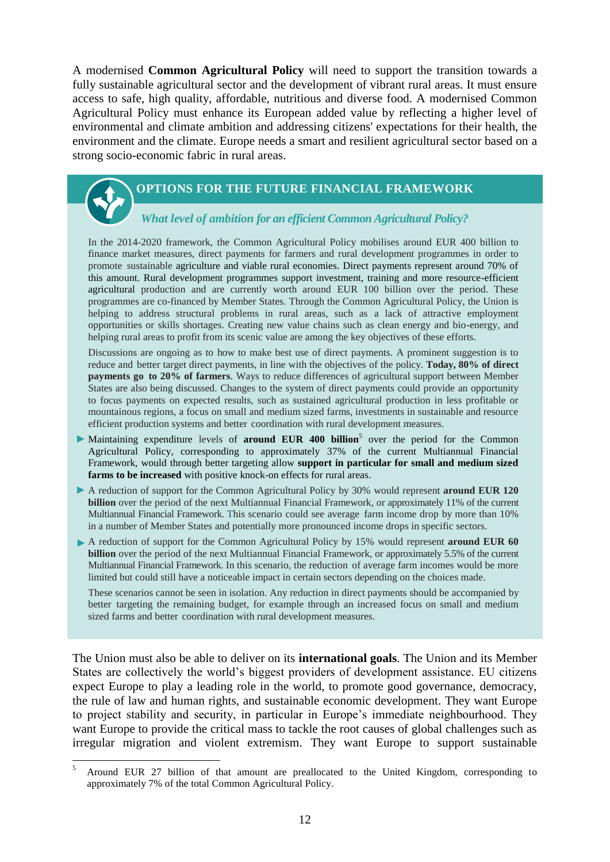A modernised **Common Agricultural Policy** will need to support the transition towards a fully sustainable agricultural sector and the development of vibrant rural areas. It must ensure access to safe, high quality, affordable, nutritious and diverse food. A modernised Common Agricultural Policy must enhance its European added value by reflecting a higher level of environmental and climate ambition and addressing citizens' expectations for their health, the environment and the climate. Europe needs a smart and resilient agricultural sector based on a strong socio-economic fabric in rural areas.

## **OPTIONS FOR THE FUTURE FINANCIAL FRAMEWORK**

## *What level of ambition for an efficient Common Agricultural Policy?*

In the 2014-2020 framework, the Common Agricultural Policy mobilises around EUR 400 billion to finance market measures, direct payments for farmers and rural development programmes in order to promote sustainable agriculture and viable rural economies. Direct payments represent around 70% of this amount. Rural development programmes support investment, training and more resource-efficient agricultural production and are currently worth around EUR 100 billion over the period. These programmes are co-financed by Member States. Through the Common Agricultural Policy, the Union is helping to address structural problems in rural areas, such as a lack of attractive employment opportunities or skills shortages. Creating new value chains such as clean energy and bio-energy, and helping rural areas to profit from its scenic value are among the key objectives of these efforts.

Discussions are ongoing as to how to make best use of direct payments. A prominent suggestion is to reduce and better target direct payments, in line with the objectives of the policy. **Today, 80% of direct payments go to 20% of farmers**. Ways to reduce differences of agricultural support between Member States are also being discussed. Changes to the system of direct payments could provide an opportunity to focus payments on expected results, such as sustained agricultural production in less profitable or mountainous regions, a focus on small and medium sized farms, investments in sustainable and resource efficient production systems and better coordination with rural development measures.

- Maintaining expenditure levels of **around EUR 400 billion**<sup>5</sup> over the period for the Common Agricultural Policy, corresponding to approximately 37% of the current Multiannual Financial Framework, would through better targeting allow **support in particular for small and medium sized farms to be increased** with positive knock-on effects for rural areas.
- A reduction of support for the Common Agricultural Policy by 30% would represent **around EUR 120 billion** over the period of the next Multiannual Financial Framework, or approximately 11% of the current Multiannual Financial Framework. This scenario could see average farm income drop by more than 10% in a number of Member States and potentially more pronounced income drops in specific sectors.
- A reduction of support for the Common Agricultural Policy by 15% would represent **around EUR 60 billion** over the period of the next Multiannual Financial Framework, or approximately 5.5% of the current Multiannual Financial Framework. In this scenario, the reduction of average farm incomes would be more limited but could still have a noticeable impact in certain sectors depending on the choices made.

These scenarios cannot be seen in isolation. Any reduction in direct payments should be accompanied by better targeting the remaining budget, for example through an increased focus on small and medium sized farms and better coordination with rural development measures.

The Union must also be able to deliver on its **international goals**. The Union and its Member States are collectively the world's biggest providers of development assistance. EU citizens expect Europe to play a leading role in the world, to promote good governance, democracy, the rule of law and human rights, and sustainable economic development. They want Europe to project stability and security, in particular in Europe's immediate neighbourhood. They want Europe to provide the critical mass to tackle the root causes of global challenges such as irregular migration and violent extremism. They want Europe to support sustainable

**.** 

<sup>5</sup> Around EUR 27 billion of that amount are preallocated to the United Kingdom, corresponding to approximately 7% of the total Common Agricultural Policy.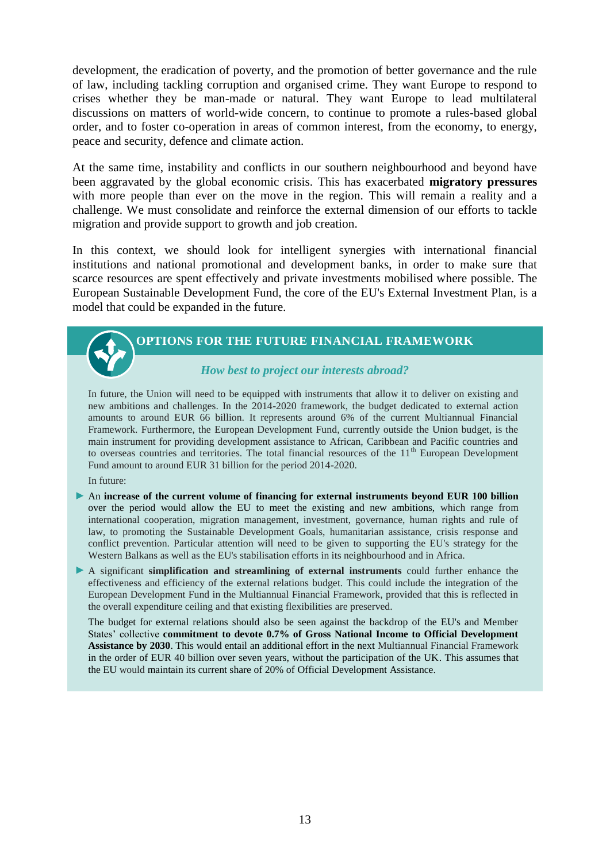development, the eradication of poverty, and the promotion of better governance and the rule of law, including tackling corruption and organised crime. They want Europe to respond to crises whether they be man-made or natural. They want Europe to lead multilateral discussions on matters of world-wide concern, to continue to promote a rules-based global order, and to foster co-operation in areas of common interest, from the economy, to energy, peace and security, defence and climate action.

At the same time, instability and conflicts in our southern neighbourhood and beyond have been aggravated by the global economic crisis. This has exacerbated **migratory pressures** with more people than ever on the move in the region. This will remain a reality and a challenge. We must consolidate and reinforce the external dimension of our efforts to tackle migration and provide support to growth and job creation.

In this context, we should look for intelligent synergies with international financial institutions and national promotional and development banks, in order to make sure that scarce resources are spent effectively and private investments mobilised where possible. The European Sustainable Development Fund, the core of the EU's External Investment Plan, is a model that could be expanded in the future.

## **OPTIONS FOR THE FUTURE FINANCIAL FRAMEWORK**

*How best to project our interests abroad?*

In future, the Union will need to be equipped with instruments that allow it to deliver on existing and new ambitions and challenges. In the 2014-2020 framework, the budget dedicated to external action amounts to around EUR 66 billion. It represents around 6% of the current Multiannual Financial Framework. Furthermore, the European Development Fund, currently outside the Union budget, is the main instrument for providing development assistance to African, Caribbean and Pacific countries and to overseas countries and territories. The total financial resources of the  $11<sup>th</sup>$  European Development Fund amount to around EUR 31 billion for the period 2014-2020.

In future:

- An **increase of the current volume of financing for external instruments beyond EUR 100 billion** over the period would allow the EU to meet the existing and new ambitions, which range from international cooperation, migration management, investment, governance, human rights and rule of law, to promoting the Sustainable Development Goals, humanitarian assistance, crisis response and conflict prevention. Particular attention will need to be given to supporting the EU's strategy for the Western Balkans as well as the EU's stabilisation efforts in its neighbourhood and in Africa.
- A significant **simplification and streamlining of external instruments** could further enhance the effectiveness and efficiency of the external relations budget. This could include the integration of the European Development Fund in the Multiannual Financial Framework, provided that this is reflected in the overall expenditure ceiling and that existing flexibilities are preserved.

The budget for external relations should also be seen against the backdrop of the EU's and Member States' collective **commitment to devote 0.7% of Gross National Income to Official Development Assistance by 2030**. This would entail an additional effort in the next Multiannual Financial Framework in the order of EUR 40 billion over seven years, without the participation of the UK. This assumes that the EU would maintain its current share of 20% of Official Development Assistance.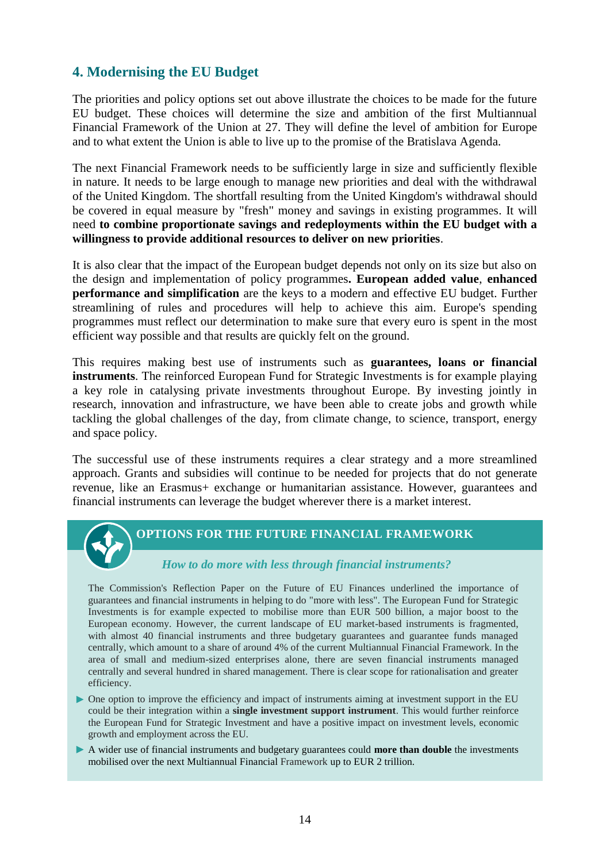## **4. Modernising the EU Budget**

The priorities and policy options set out above illustrate the choices to be made for the future EU budget. These choices will determine the size and ambition of the first Multiannual Financial Framework of the Union at 27. They will define the level of ambition for Europe and to what extent the Union is able to live up to the promise of the Bratislava Agenda.

The next Financial Framework needs to be sufficiently large in size and sufficiently flexible in nature. It needs to be large enough to manage new priorities and deal with the withdrawal of the United Kingdom. The shortfall resulting from the United Kingdom's withdrawal should be covered in equal measure by "fresh" money and savings in existing programmes. It will need **to combine proportionate savings and redeployments within the EU budget with a willingness to provide additional resources to deliver on new priorities**.

It is also clear that the impact of the European budget depends not only on its size but also on the design and implementation of policy programmes**. European added value**, **enhanced performance and simplification** are the keys to a modern and effective EU budget. Further streamlining of rules and procedures will help to achieve this aim. Europe's spending programmes must reflect our determination to make sure that every euro is spent in the most efficient way possible and that results are quickly felt on the ground.

This requires making best use of instruments such as **guarantees, loans or financial instruments**. The reinforced European Fund for Strategic Investments is for example playing a key role in catalysing private investments throughout Europe. By investing jointly in research, innovation and infrastructure, we have been able to create jobs and growth while tackling the global challenges of the day, from climate change, to science, transport, energy and space policy.

The successful use of these instruments requires a clear strategy and a more streamlined approach. Grants and subsidies will continue to be needed for projects that do not generate revenue, like an Erasmus+ exchange or humanitarian assistance. However, guarantees and financial instruments can leverage the budget wherever there is a market interest.



## **OPTIONS FOR THE FUTURE FINANCIAL FRAMEWORK**

#### *How to do more with less through financial instruments?*

The Commission's Reflection Paper on the Future of EU Finances underlined the importance of guarantees and financial instruments in helping to do "more with less". The European Fund for Strategic Investments is for example expected to mobilise more than EUR 500 billion, a major boost to the European economy. However, the current landscape of EU market-based instruments is fragmented, with almost 40 financial instruments and three budgetary guarantees and guarantee funds managed centrally, which amount to a share of around 4% of the current Multiannual Financial Framework. In the area of small and medium-sized enterprises alone, there are seven financial instruments managed centrally and several hundred in shared management. There is clear scope for rationalisation and greater efficiency.

- One option to improve the efficiency and impact of instruments aiming at investment support in the EU could be their integration within a **single investment support instrument**. This would further reinforce the European Fund for Strategic Investment and have a positive impact on investment levels, economic growth and employment across the EU.
- A wider use of financial instruments and budgetary guarantees could **more than double** the investments mobilised over the next Multiannual Financial Framework up to EUR 2 trillion.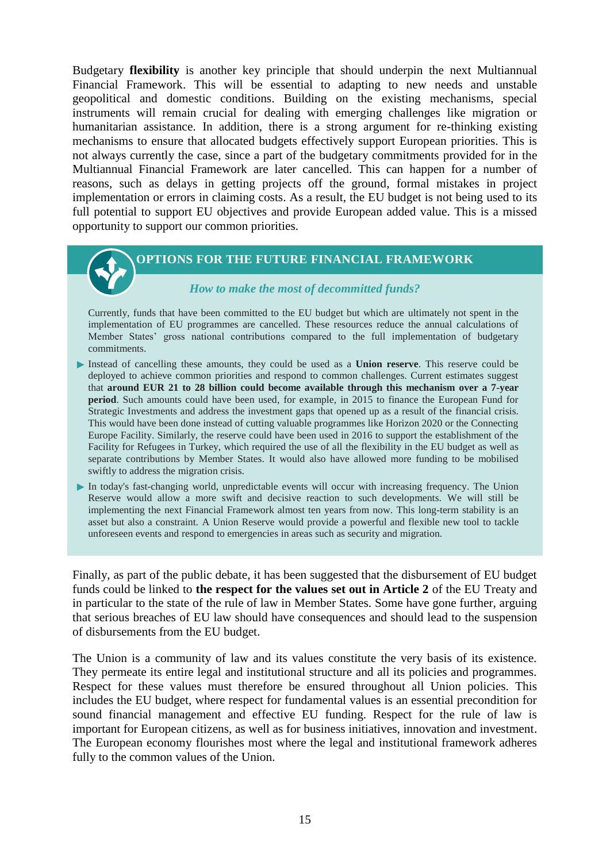Budgetary **flexibility** is another key principle that should underpin the next Multiannual Financial Framework. This will be essential to adapting to new needs and unstable geopolitical and domestic conditions. Building on the existing mechanisms, special instruments will remain crucial for dealing with emerging challenges like migration or humanitarian assistance. In addition, there is a strong argument for re-thinking existing mechanisms to ensure that allocated budgets effectively support European priorities. This is not always currently the case, since a part of the budgetary commitments provided for in the Multiannual Financial Framework are later cancelled. This can happen for a number of reasons, such as delays in getting projects off the ground, formal mistakes in project implementation or errors in claiming costs. As a result, the EU budget is not being used to its full potential to support EU objectives and provide European added value. This is a missed opportunity to support our common priorities.

## **OPTIONS FOR THE FUTURE FINANCIAL FRAMEWORK**

#### *How to make the most of decommitted funds?*

Currently, funds that have been committed to the EU budget but which are ultimately not spent in the implementation of EU programmes are cancelled. These resources reduce the annual calculations of Member States' gross national contributions compared to the full implementation of budgetary commitments.

- Instead of cancelling these amounts, they could be used as a **Union reserve**. This reserve could be deployed to achieve common priorities and respond to common challenges. Current estimates suggest that **around EUR 21 to 28 billion could become available through this mechanism over a 7-year period**. Such amounts could have been used, for example, in 2015 to finance the European Fund for Strategic Investments and address the investment gaps that opened up as a result of the financial crisis. This would have been done instead of cutting valuable programmes like Horizon 2020 or the Connecting Europe Facility. Similarly, the reserve could have been used in 2016 to support the establishment of the Facility for Refugees in Turkey, which required the use of all the flexibility in the EU budget as well as separate contributions by Member States. It would also have allowed more funding to be mobilised swiftly to address the migration crisis.
- In today's fast-changing world, unpredictable events will occur with increasing frequency. The Union Reserve would allow a more swift and decisive reaction to such developments. We will still be implementing the next Financial Framework almost ten years from now. This long-term stability is an asset but also a constraint. A Union Reserve would provide a powerful and flexible new tool to tackle unforeseen events and respond to emergencies in areas such as security and migration.

Finally, as part of the public debate, it has been suggested that the disbursement of EU budget funds could be linked to **the respect for the values set out in Article 2** of the EU Treaty and in particular to the state of the rule of law in Member States. Some have gone further, arguing that serious breaches of EU law should have consequences and should lead to the suspension of disbursements from the EU budget.

The Union is a community of law and its values constitute the very basis of its existence. They permeate its entire legal and institutional structure and all its policies and programmes. Respect for these values must therefore be ensured throughout all Union policies. This includes the EU budget, where respect for fundamental values is an essential precondition for sound financial management and effective EU funding. Respect for the rule of law is important for European citizens, as well as for business initiatives, innovation and investment. The European economy flourishes most where the legal and institutional framework adheres fully to the common values of the Union.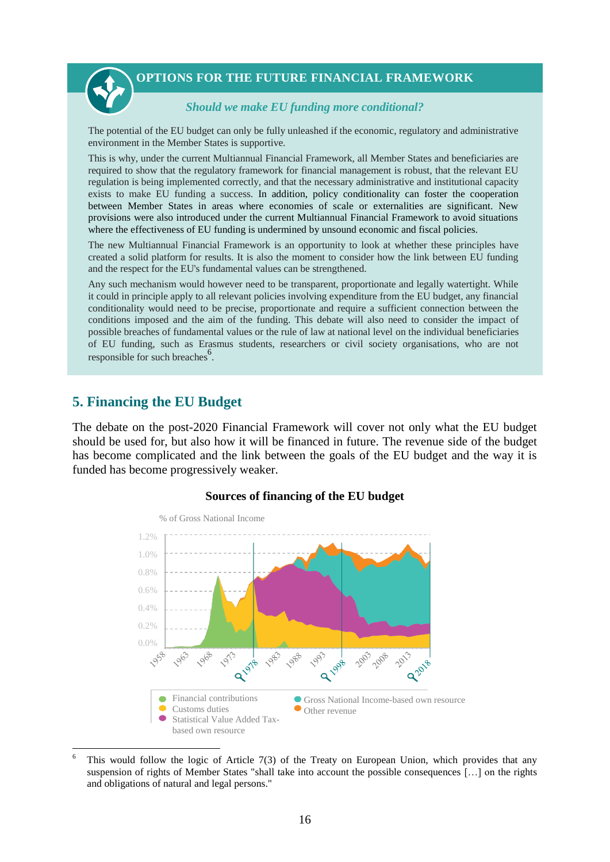

#### *Should we make EU funding more conditional?*

The potential of the EU budget can only be fully unleashed if the economic, regulatory and administrative environment in the Member States is supportive.

This is why, under the current Multiannual Financial Framework, all Member States and beneficiaries are required to show that the regulatory framework for financial management is robust, that the relevant EU regulation is being implemented correctly, and that the necessary administrative and institutional capacity exists to make EU funding a success. In addition, policy conditionality can foster the cooperation between Member States in areas where economies of scale or externalities are significant. New provisions were also introduced under the current Multiannual Financial Framework to avoid situations where the effectiveness of EU funding is undermined by unsound economic and fiscal policies.

The new Multiannual Financial Framework is an opportunity to look at whether these principles have created a solid platform for results. It is also the moment to consider how the link between EU funding and the respect for the EU's fundamental values can be strengthened.

Any such mechanism would however need to be transparent, proportionate and legally watertight. While it could in principle apply to all relevant policies involving expenditure from the EU budget, any financial conditionality would need to be precise, proportionate and require a sufficient connection between the conditions imposed and the aim of the funding. This debate will also need to consider the impact of possible breaches of fundamental values or the rule of law at national level on the individual beneficiaries of EU funding, such as Erasmus students, researchers or civil society organisations, who are not responsible for such breaches<sup>6</sup>.

## **5. Financing the EU Budget**

1

The debate on the post-2020 Financial Framework will cover not only what the EU budget should be used for, but also how it will be financed in future. The revenue side of the budget has become complicated and the link between the goals of the EU budget and the way it is funded has become progressively weaker.



#### **Sources of financing of the EU budget**

This would follow the logic of Article 7(3) of the Treaty on European Union, which provides that any suspension of rights of Member States "shall take into account the possible consequences […] on the rights and obligations of natural and legal persons."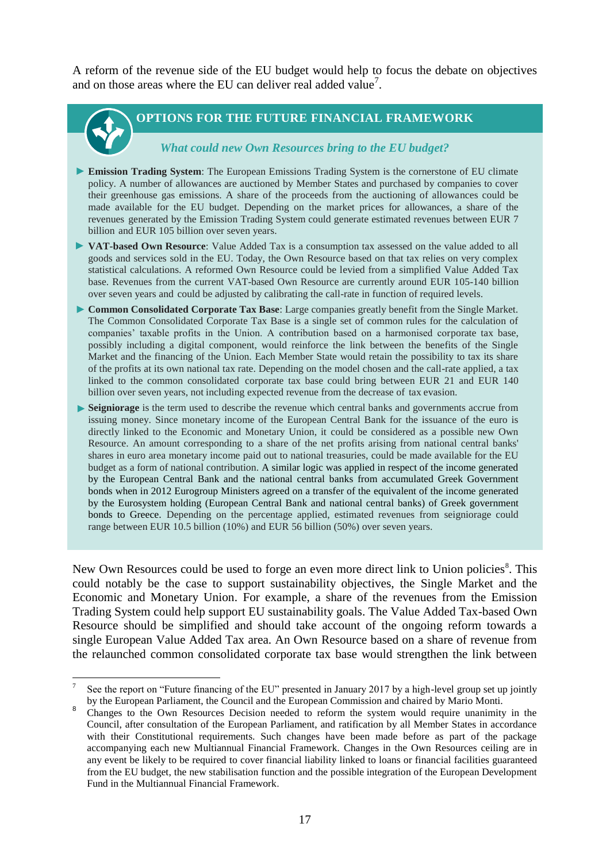A reform of the revenue side of the EU budget would help to focus the debate on objectives and on those areas where the EU can deliver real added value<sup>7</sup>.

1

## **OPTIONS FOR THE FUTURE FINANCIAL FRAMEWORK**

#### *What could new Own Resources bring to the EU budget?*

- **Emission Trading System:** The European Emissions Trading System is the cornerstone of EU climate policy. A number of allowances are auctioned by Member States and purchased by companies to cover their greenhouse gas emissions. A share of the proceeds from the auctioning of allowances could be made available for the EU budget. Depending on the market prices for allowances, a share of the revenues generated by the Emission Trading System could generate estimated revenues between EUR 7 billion and EUR 105 billion over seven years.
- **VAT-based Own Resource**: Value Added Tax is a consumption tax assessed on the value added to all goods and services sold in the EU. Today, the Own Resource based on that tax relies on very complex statistical calculations. A reformed Own Resource could be levied from a simplified Value Added Tax base. Revenues from the current VAT-based Own Resource are currently around EUR 105-140 billion over seven years and could be adjusted by calibrating the call-rate in function of required levels.
- **Common Consolidated Corporate Tax Base**: Large companies greatly benefit from the Single Market. The Common Consolidated Corporate Tax Base is a single set of common rules for the calculation of companies' taxable profits in the Union. A contribution based on a harmonised corporate tax base, possibly including a digital component, would reinforce the link between the benefits of the Single Market and the financing of the Union. Each Member State would retain the possibility to tax its share of the profits at its own national tax rate. Depending on the model chosen and the call-rate applied, a tax linked to the common consolidated corporate tax base could bring between EUR 21 and EUR 140 billion over seven years, not including expected revenue from the decrease of tax evasion.
- **Seigniorage** is the term used to describe the revenue which central banks and governments accrue from issuing money. Since monetary income of the European Central Bank for the issuance of the euro is directly linked to the Economic and Monetary Union, it could be considered as a possible new Own Resource. An amount corresponding to a share of the net profits arising from national central banks' shares in euro area monetary income paid out to national treasuries, could be made available for the EU budget as a form of national contribution. A similar logic was applied in respect of the income generated by the European Central Bank and the national central banks from accumulated Greek Government bonds when in 2012 Eurogroup Ministers agreed on a transfer of the equivalent of the income generated by the Eurosystem holding (European Central Bank and national central banks) of Greek government bonds to Greece. Depending on the percentage applied, estimated revenues from seigniorage could range between EUR 10.5 billion (10%) and EUR 56 billion (50%) over seven years.

New Own Resources could be used to forge an even more direct link to Union policies<sup>8</sup>. This could notably be the case to support sustainability objectives, the Single Market and the Economic and Monetary Union. For example, a share of the revenues from the Emission Trading System could help support EU sustainability goals. The Value Added Tax-based Own Resource should be simplified and should take account of the ongoing reform towards a single European Value Added Tax area. An Own Resource based on a share of revenue from the relaunched common consolidated corporate tax base would strengthen the link between

<sup>7</sup> See the report on "Future financing of the EU" presented in January 2017 by a high-level group set up jointly by the European Parliament, the Council and the European Commission and chaired by Mario Monti.

<sup>8</sup> Changes to the Own Resources Decision needed to reform the system would require unanimity in the Council, after consultation of the European Parliament, and ratification by all Member States in accordance with their Constitutional requirements. Such changes have been made before as part of the package accompanying each new Multiannual Financial Framework. Changes in the Own Resources ceiling are in any event be likely to be required to cover financial liability linked to loans or financial facilities guaranteed from the EU budget, the new stabilisation function and the possible integration of the European Development Fund in the Multiannual Financial Framework.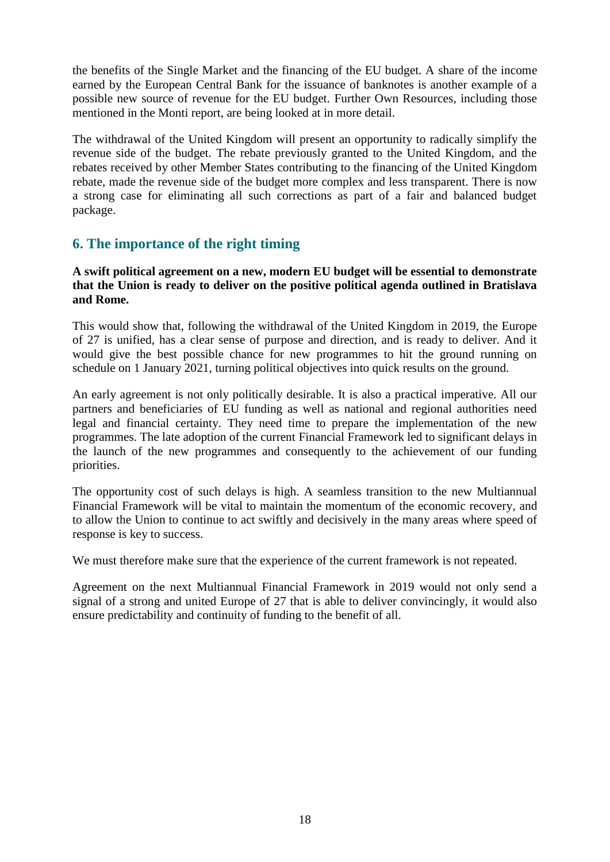the benefits of the Single Market and the financing of the EU budget. A share of the income earned by the European Central Bank for the issuance of banknotes is another example of a possible new source of revenue for the EU budget. Further Own Resources, including those mentioned in the Monti report, are being looked at in more detail.

The withdrawal of the United Kingdom will present an opportunity to radically simplify the revenue side of the budget. The rebate previously granted to the United Kingdom, and the rebates received by other Member States contributing to the financing of the United Kingdom rebate, made the revenue side of the budget more complex and less transparent. There is now a strong case for eliminating all such corrections as part of a fair and balanced budget package.

## **6. The importance of the right timing**

## **A swift political agreement on a new, modern EU budget will be essential to demonstrate that the Union is ready to deliver on the positive political agenda outlined in Bratislava and Rome.**

This would show that, following the withdrawal of the United Kingdom in 2019, the Europe of 27 is unified, has a clear sense of purpose and direction, and is ready to deliver. And it would give the best possible chance for new programmes to hit the ground running on schedule on 1 January 2021, turning political objectives into quick results on the ground.

An early agreement is not only politically desirable. It is also a practical imperative. All our partners and beneficiaries of EU funding as well as national and regional authorities need legal and financial certainty. They need time to prepare the implementation of the new programmes. The late adoption of the current Financial Framework led to significant delays in the launch of the new programmes and consequently to the achievement of our funding priorities.

The opportunity cost of such delays is high. A seamless transition to the new Multiannual Financial Framework will be vital to maintain the momentum of the economic recovery, and to allow the Union to continue to act swiftly and decisively in the many areas where speed of response is key to success.

We must therefore make sure that the experience of the current framework is not repeated.

Agreement on the next Multiannual Financial Framework in 2019 would not only send a signal of a strong and united Europe of 27 that is able to deliver convincingly, it would also ensure predictability and continuity of funding to the benefit of all.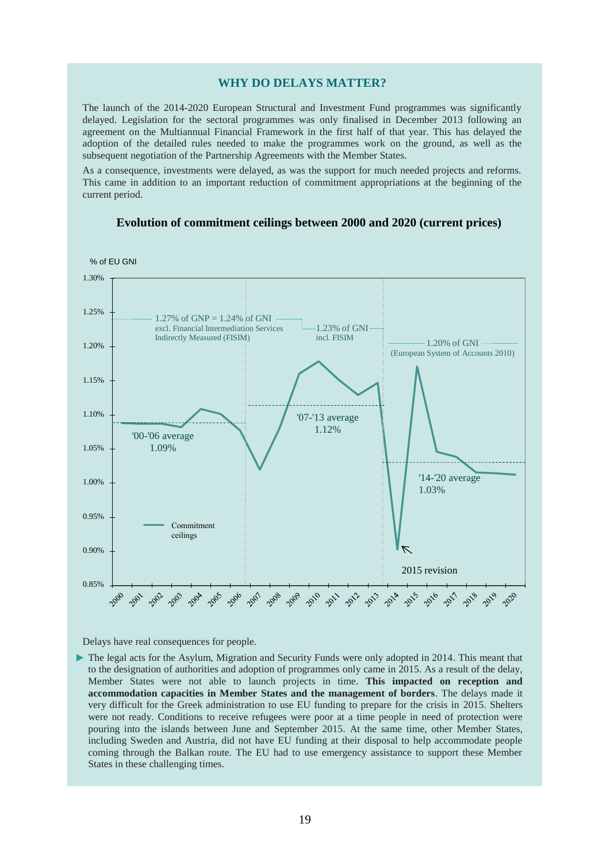#### **WHY DO DELAYS MATTER?**

The launch of the 2014-2020 European Structural and Investment Fund programmes was significantly delayed. Legislation for the sectoral programmes was only finalised in December 2013 following an agreement on the Multiannual Financial Framework in the first half of that year. This has delayed the adoption of the detailed rules needed to make the programmes work on the ground, as well as the subsequent negotiation of the Partnership Agreements with the Member States.

As a consequence, investments were delayed, as was the support for much needed projects and reforms. This came in addition to an important reduction of commitment appropriations at the beginning of the current period.



#### **Evolution of commitment ceilings between 2000 and 2020 (current prices)**

Delays have real consequences for people.

 $\triangleright$  The legal acts for the Asylum, Migration and Security Funds were only adopted in 2014. This meant that to the designation of authorities and adoption of programmes only came in 2015. As a result of the delay, Member States were not able to launch projects in time. **This impacted on reception and accommodation capacities in Member States and the management of borders**. The delays made it very difficult for the Greek administration to use EU funding to prepare for the crisis in 2015. Shelters were not ready. Conditions to receive refugees were poor at a time people in need of protection were pouring into the islands between June and September 2015. At the same time, other Member States, including Sweden and Austria, did not have EU funding at their disposal to help accommodate people coming through the Balkan route. The EU had to use emergency assistance to support these Member States in these challenging times.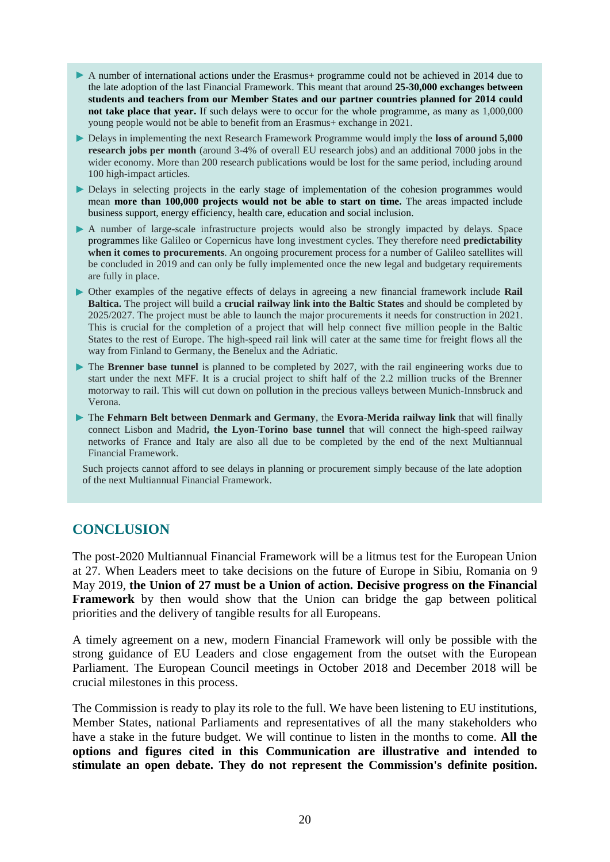- A number of international actions under the Erasmus+ programme could not be achieved in 2014 due to the late adoption of the last Financial Framework. This meant that around **25-30,000 exchanges between students and teachers from our Member States and our partner countries planned for 2014 could not take place that year.** If such delays were to occur for the whole programme, as many as 1,000,000 young people would not be able to benefit from an Erasmus+ exchange in 2021.
- Delays in implementing the next Research Framework Programme would imply the **loss of around 5,000 research jobs per month** (around 3-4% of overall EU research jobs) and an additional 7000 jobs in the wider economy. More than 200 research publications would be lost for the same period, including around 100 high-impact articles.
- Delays in selecting projects in the early stage of implementation of the cohesion programmes would mean **more than 100,000 projects would not be able to start on time.** The areas impacted include business support, energy efficiency, health care, education and social inclusion.
- A number of large-scale infrastructure projects would also be strongly impacted by delays. Space programmes like Galileo or Copernicus have long investment cycles. They therefore need **predictability when it comes to procurements**. An ongoing procurement process for a number of Galileo satellites will be concluded in 2019 and can only be fully implemented once the new legal and budgetary requirements are fully in place.
- Other examples of the negative effects of delays in agreeing a new financial framework include **Rail Baltica.** The project will build a **crucial railway link into the Baltic States** and should be completed by 2025/2027. The project must be able to launch the major procurements it needs for construction in 2021. This is crucial for the completion of a project that will help connect five million people in the Baltic States to the rest of Europe. The high-speed rail link will cater at the same time for freight flows all the way from Finland to Germany, the Benelux and the Adriatic.
- The **Brenner base tunnel** is planned to be completed by 2027, with the rail engineering works due to start under the next MFF. It is a crucial project to shift half of the 2.2 million trucks of the Brenner motorway to rail. This will cut down on pollution in the precious valleys between Munich-Innsbruck and Verona.
- The **Fehmarn Belt between Denmark and Germany**, the **Evora-Merida railway link** that will finally connect Lisbon and Madrid**, the Lyon-Torino base tunnel** that will connect the high-speed railway networks of France and Italy are also all due to be completed by the end of the next Multiannual Financial Framework.

Such projects cannot afford to see delays in planning or procurement simply because of the late adoption of the next Multiannual Financial Framework.

## **CONCLUSION**

The post-2020 Multiannual Financial Framework will be a litmus test for the European Union at 27. When Leaders meet to take decisions on the future of Europe in Sibiu, Romania on 9 May 2019, **the Union of 27 must be a Union of action. Decisive progress on the Financial Framework** by then would show that the Union can bridge the gap between political priorities and the delivery of tangible results for all Europeans.

A timely agreement on a new, modern Financial Framework will only be possible with the strong guidance of EU Leaders and close engagement from the outset with the European Parliament. The European Council meetings in October 2018 and December 2018 will be crucial milestones in this process.

The Commission is ready to play its role to the full. We have been listening to EU institutions, Member States, national Parliaments and representatives of all the many stakeholders who have a stake in the future budget. We will continue to listen in the months to come. **All the options and figures cited in this Communication are illustrative and intended to stimulate an open debate. They do not represent the Commission's definite position.**